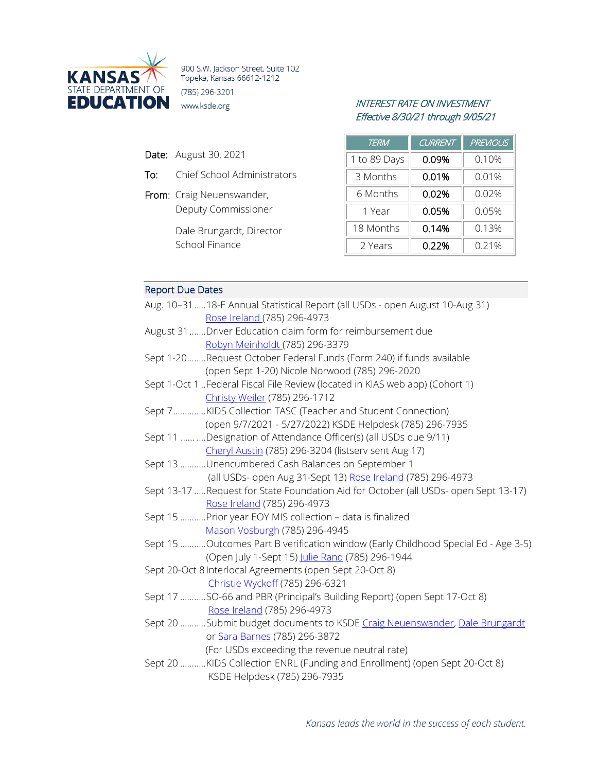

900 S.W. Jackson Street, Suite 102 Topeka, Kansas 66612-1212 (785) 296-3201

- Date: August 30, 2021
- To: Chief School Administrators
- From: Craig Neuenswander, Deputy Commissioner

Dale Brungardt, Director School Finance

# INTEREST RATE ON INVESTMENT Effective 8/30/21 through 9/05/21

| TERM         | <b>CURRENT</b> | <b>PREVIOUS</b> |
|--------------|----------------|-----------------|
| 1 to 89 Days | 0.09%          | 0.10%           |
| 3 Months     | 0.01%          | 0.01%           |
| 6 Months     | 0.02%          | $0.02\%$        |
| 1 Year       | 0.05%          | 0.05%           |
| 18 Months    | 0.14%          | 0.13%           |
| 2 Years      | 0.22%          | 0.21%           |

# Report Due Dates

| Aug. 10-31  18-E Annual Statistical Report (all USDs - open August 10-Aug 31)       |
|-------------------------------------------------------------------------------------|
| Rose Ireland (785) 296-4973                                                         |
| August 31 Driver Education claim form for reimbursement due                         |
| Robyn Meinholdt (785) 296-3379                                                      |
| Sept 1-20Request October Federal Funds (Form 240) if funds available                |
| (open Sept 1-20) Nicole Norwood (785) 296-2020                                      |
| Sept 1-Oct 1 Federal Fiscal File Review (located in KIAS web app) (Cohort 1)        |
| Christy Weiler (785) 296-1712                                                       |
| Sept 7KIDS Collection TASC (Teacher and Student Connection)                         |
| (open 9/7/2021 - 5/27/2022) KSDE Helpdesk (785) 296-7935                            |
| Sept 11   Designation of Attendance Officer(s) (all USDs due 9/11)                  |
| Cheryl Austin (785) 296-3204 (listserv sent Aug 17)                                 |
| Sept 13 Unencumbered Cash Balances on September 1                                   |
| (all USDs- open Aug 31-Sept 13) Rose Ireland (785) 296-4973                         |
| Sept 13-17 Request for State Foundation Aid for October (all USDs- open Sept 13-17) |
| Rose Ireland (785) 296-4973                                                         |
| Sept 15 Prior year EOY MIS collection - data is finalized                           |
| Mason Vosburgh (785) 296-4945                                                       |
| Sept 15 Outcomes Part B verification window (Early Childhood Special Ed - Age 3-5)  |
| (Open July 1-Sept 15) Julie Rand (785) 296-1944                                     |
| Sept 20-Oct 8 Interlocal Agreements (open Sept 20-Oct 8)                            |
| Christie Wyckoff (785) 296-6321                                                     |
| Sept 17 SO-66 and PBR (Principal's Building Report) (open Sept 17-Oct 8)            |
| Rose Ireland (785) 296-4973                                                         |
| Sept 20 Submit budget documents to KSDE Craig Neuenswander, Dale Brungardt          |
| or Sara Barnes (785) 296-3872                                                       |
| (For USDs exceeding the revenue neutral rate)                                       |
| Sept 20 KIDS Collection ENRL (Funding and Enrollment) (open Sept 20-Oct 8)          |
| KSDE Helpdesk (785) 296-7935                                                        |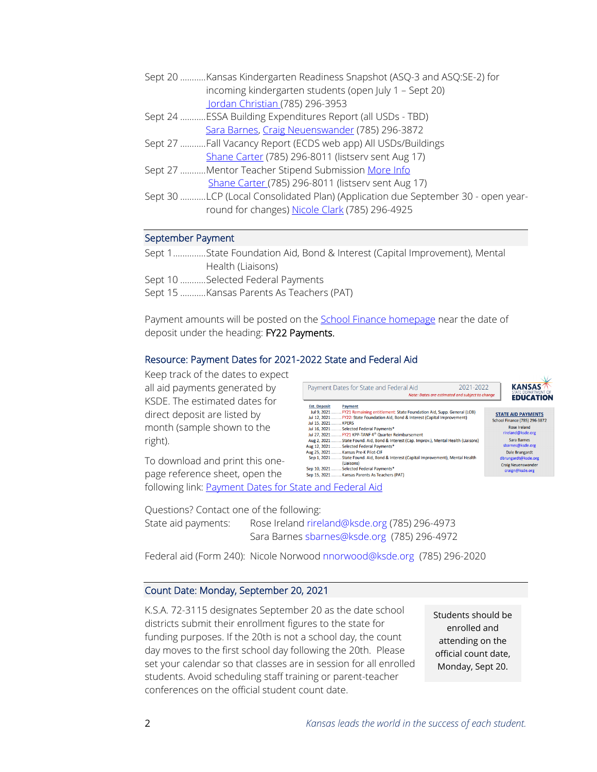| Sept 20 Kansas Kindergarten Readiness Snapshot (ASQ-3 and ASQ:SE-2) for |                                                            |  |  |  |
|-------------------------------------------------------------------------|------------------------------------------------------------|--|--|--|
|                                                                         | incoming kindergarten students (open July 1 – Sept 20)     |  |  |  |
|                                                                         | Jordan Christian (785) 296-3953                            |  |  |  |
|                                                                         | Sept 24 ESSA Building Expenditures Report (all USDs - TBD) |  |  |  |
|                                                                         | Sara Barnes, Craig Neuenswander (785) 296-3872             |  |  |  |

- Sept 27 ...........Fall Vacancy Report (ECDS web app) All USDs/Buildings [Shane Carter](mailto:scarter@ksde.org) (785) 296-8011 (listserv sent Aug 17)
- Sept 27 ...........Mentor Teacher Stipend Submission [More Info](https://www.ksde.org/Portals/0/TLA/Mentoring/Mentoring%20and%20State%20Funded%20Stipends%202021_22.pdf?ver=2021-08-16-094419-690) [Shane Carter \(](mailto:scarter@ksde.org)785) 296-8011 (listserv sent Aug 17)
- Sept 30 ...........LCP (Local Consolidated Plan) (Application due September 30 open yearround for changes) [Nicole Clark](mailto:nclark@ksde.org) (785) 296-4925

### September Payment

| Sept 1State Foundation Aid, Bond & Interest (Capital Improvement), Mental |
|---------------------------------------------------------------------------|
| Health (Liaisons)                                                         |
| Sept 10 Selected Federal Payments                                         |
|                                                                           |

Sept 15 ...........Kansas Parents As Teachers (PAT)

Payment amounts will be posted on the [School Finance homepage](http://www.ksde.org/Agency/Fiscal-and-Administrative-Services/School-Finance/Payment-Information) near the date of deposit under the heading: FY22 Payments.

## Resource: Payment Dates for 2021-2022 State and Federal Aid

Keep track of the dates to expect all aid payments generated by KSDE. The estimated dates for direct deposit are listed by month (sample shown to the right).

2021-2022 **KANSAS** Payment Dates for State and Federal Aid Note: Dates are estimated and subject to change **EDUCATION** Est. Deposit<br>Jul 9, 2021<br>Jul 12, 2021 Payment Lermans<br>FY21 Remaining entitlement: State Foundation Aid, Supp. General (LOB)<br>FY22: State Foundation Aid, Bond & Interest (Capital Improvement) **STATE AID PAYMENTS** School Finance (785) 296-3872 .. KPERS Jul 15, 2021 ...... Rose Ireland ......<br>..Selected Federal Pavments\* Jul 16, 2021...... rireland@ksde.org Jul 27, 2021<br>Aug 2, 2021 Sara Barnes<br>sbarnes@ksde.org Aug 12, 2021 .. Selected Federal Payments' Aug 25, 2021.......<br>Sep 1, 2021....... .. Kansas Pre-K Pilot-CIF Dale Brungardt<br>dbrungardt@ksde.org State Found. Aid, Bond & Interest (Capital Improvement), Mental Health Chaisons)<br>Chaisons)<br>Selected Federal Payments\* **Craig Neuenswander** Sep 10, 2021....... aign@ksde.org ... Sciecced Federal Fayments<br>... Kansas Parents As Teachers (PAT) Sep 15, 2021.......

To download and print this onepage reference sheet, open the

following link: [Payment Dates for State and Federal Aid](https://www.ksde.org/Portals/0/School%20Finance/payment_information/Payment%20Dates%20FY22.pdf?ver=2021-08-02-085620-330)

Questions? Contact one of the following: State aid payments: Rose Ireland [rireland@ksde.org \(](mailto:rireland@ksde.org)785) 296-4973 Sara Barnes [sbarnes@ksde.org](mailto:sbarnes@ksde.org) (785) 296-4972

Federal aid (Form 240): Nicole Norwood [nnorwood@ksde.org](mailto:nnorwood@ksde.org) (785) 296-2020

## Count Date: Monday, September 20, 2021

K.S.A. 72-3115 designates September 20 as the date school districts submit their enrollment figures to the state for funding purposes. If the 20th is not a school day, the count day moves to the first school day following the 20th. Please set your calendar so that classes are in session for all enrolled students. Avoid scheduling staff training or parent-teacher conferences on the official student count date.

Students should be enrolled and attending on the official count date, Monday, Sept 20.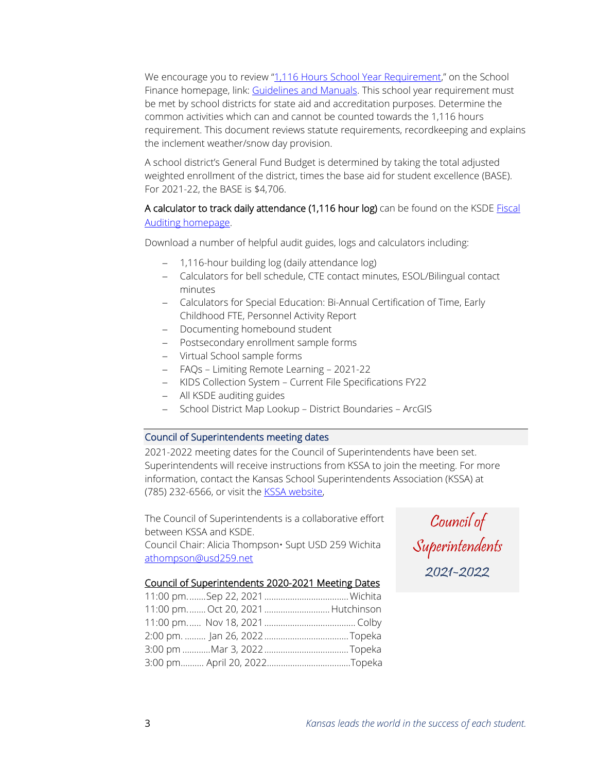We encourage you to review ["1,116 Hours School Year Requirement,"](https://www.ksde.org/Portals/0/School%20Finance/guidelines_manuals/1116hrs%20statute%20FAQ.pdf?ver=2021-08-17-133320-040) on the School Finance homepage, link[: Guidelines and Manuals.](https://www.ksde.org/Agency/Fiscal-and-Administrative-Services/School-Finance/Guidelines-and-Manuals) This school year requirement must be met by school districts for state aid and accreditation purposes. Determine the common activities which can and cannot be counted towards the 1,116 hours requirement. This document reviews statute requirements, recordkeeping and explains the inclement weather/snow day provision.

A school district's General Fund Budget is determined by taking the total adjusted weighted enrollment of the district, times the base aid for student excellence (BASE). For 2021-22, the BASE is \$4,706.

# A calculator to track daily attendance (1,116 hour log) can be found on the KSDE Fiscal [Auditing homepage.](https://www.ksde.org/Agency/Fiscal-and-Administrative-Services/Fiscal-Auditing)

Download a number of helpful audit guides, logs and calculators including:

- − 1,116-hour building log (daily attendance log)
- − Calculators for bell schedule, CTE contact minutes, ESOL/Bilingual contact minutes
- − Calculators for Special Education: Bi-Annual Certification of Time, Early Childhood FTE, Personnel Activity Report
- − Documenting homebound student
- − Postsecondary enrollment sample forms
- − Virtual School sample forms
- − FAQs Limiting Remote Learning 2021-22
- − KIDS Collection System Current File Specifications FY22
- − All KSDE auditing guides
- − School District Map Lookup District Boundaries ArcGIS

### Council of Superintendents meeting dates

2021-2022 meeting dates for the Council of Superintendents have been set. Superintendents will receive instructions from KSSA to join the meeting. For more information, contact the Kansas School Superintendents Association (KSSA) at (785) 232-6566, or visit the [KSSA website,](https://www.kansassuperintendents.org/council-of-superintendents)

The Council of Superintendents is a collaborative effort between KSSA and KSDE.

Council Chair: Alicia Thompson• Supt USD 259 Wichita [athompson@usd259.net](mailto:athompson@usd259.net)

Council of Superintendents 2021-2022

## Council of Superintendents 2020-2021 Meeting Dates

|  | 11:00 pm.  Oct 20, 2021  Hutchinson |  |
|--|-------------------------------------|--|
|  |                                     |  |
|  |                                     |  |
|  |                                     |  |
|  |                                     |  |
|  |                                     |  |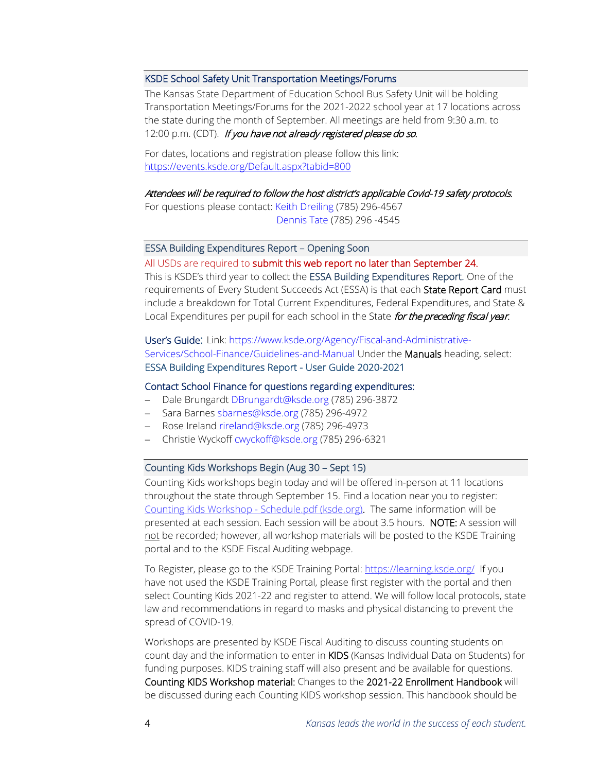#### KSDE School Safety Unit Transportation Meetings/Forums

The Kansas State Department of Education School Bus Safety Unit will be holding Transportation Meetings/Forums for the 2021-2022 school year at 17 locations across the state during the month of September. All meetings are held from 9:30 a.m. to 12:00 p.m. (CDT). If you have not already registered please do so.

For dates, locations and registration please follow this link: <https://events.ksde.org/Default.aspx?tabid=800>

#### Attendees will be required to follow the host district's applicable Covid-19 safety protocols.

For questions please contact: [Keith Dreiling](mailto:kdreiling@ksde.org) (785) 296-4567 [Dennis Tate](mailto:dtate@ksde.org) (785) 296 -4545

### ESSA Building Expenditures Report – Opening Soon

All USDs are required to submit this web report no later than September 24. This is KSDE's third year to collect the ESSA Building Expenditures Report. One of the requirements of Every Student Succeeds Act (ESSA) is that each State Report Card must include a breakdown for Total Current Expenditures, Federal Expenditures, and State & Local Expenditures per pupil for each school in the State for the preceding fiscal year.

User's Guide: Link: [https://www.ksde.org/Agency/Fiscal-and-Administrative-](https://www.ksde.org/Agency/Fiscal-and-Administrative-Services/School-Finance/Guidelines-and-Manuals)[Services/School-Finance/Guidelines-and-Manual](https://www.ksde.org/Agency/Fiscal-and-Administrative-Services/School-Finance/Guidelines-and-Manuals) Under the Manuals heading, select: ESSA Building Expenditures Report - User Guide 2020-2021

#### Contact School Finance for questions regarding expenditures:

- − Dale Brungardt [DBrungardt@ksde.org](mailto:DBrungardt@ksde.org) (785) 296-3872
- − Sara Barnes [sbarnes@ksde.org](mailto:sbarnes@ksde.org) (785) 296-4972
- − Rose Ireland [rireland@ksde.org](mailto:rireland@ksde.org) (785) 296-4973
- − Christie Wyckof[f cwyckoff@ksde.org](mailto:cwyckoff@ksde.org) (785) 296-6321

#### Counting Kids Workshops Begin (Aug 30 – Sept 15)

Counting Kids workshops begin today and will be offered in-person at 11 locations throughout the state through September 15. Find a location near you to register: Counting Kids Workshop - [Schedule.pdf](https://www.ksde.org/Portals/0/Auditing/Counting%20Kids%20Workshop%20-%20Schedule.pdf?ver=2021-08-09-152317-140) (ksde.org). The same information will be presented at each session. Each session will be about 3.5 hours. NOTE: A session will not be recorded; however, all workshop materials will be posted to the KSDE Training portal and to the KSDE Fiscal Auditing webpage.

To Register, please go to the KSDE Training Portal: <https://learning.ksde.org/> If you have not used the KSDE Training Portal, please first register with the portal and then select Counting Kids 2021-22 and register to attend. We will follow local protocols, state law and recommendations in regard to masks and physical distancing to prevent the spread of COVID-19.

Workshops are presented by KSDE Fiscal Auditing to discuss counting students on count day and the information to enter in KIDS (Kansas Individual Data on Students) for funding purposes. KIDS training staff will also present and be available for questions. Counting KIDS Workshop material: Changes to the 2021-22 Enrollment Handbook will be discussed during each Counting KIDS workshop session. This handbook should be